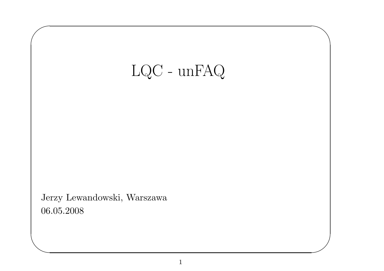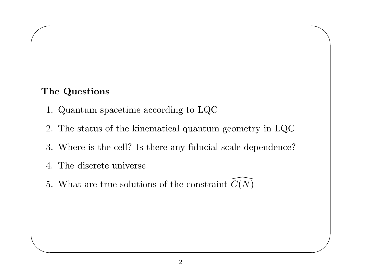#### The Questions

 $\sqrt{2}$ 

 $\overline{\phantom{a}}$ 

- 1. Quantum spacetime according to LQC
- 2. The status of the kinematical quantum geometry in LQC

 $\overline{\phantom{0}}$ 

 $\overline{\phantom{a}}$ 

- 3. Where is the cell? Is there any fiducial scale dependence?
- 4. The discrete universe
- 5. What are true solutions of the constraint  $C(N)$  $\overline{\phantom{a}}$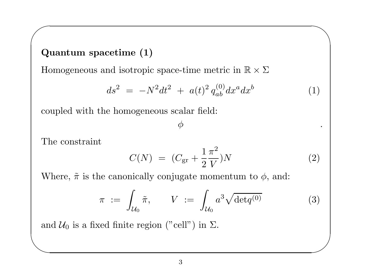#### Quantum spacetime (1)

Homogeneous and isotropic space-time metric in  $\mathbb{R} \times \Sigma$ 

$$
ds^2 = -N^2 dt^2 + a(t)^2 q_{ab}^{(0)} dx^a dx^b \tag{1}
$$

 $\overline{\phantom{0}}$ 

 $\overline{\phantom{a}}$ 

coupled with the homogeneous scalar field:

 $\phi$  .

The constraint

 $\sqrt{2}$ 

$$
C(N) = (C_{\rm gr} + \frac{1}{2} \frac{\pi^2}{V})N \tag{2}
$$

Where,  $\tilde{\pi}$  is the canonically conjugate momentum to  $\phi$ , and:

$$
\pi := \int_{\mathcal{U}_0} \tilde{\pi}, \qquad V := \int_{\mathcal{U}_0} a^3 \sqrt{\det q^{(0)}} \tag{3}
$$

an and  $\mathcal{U}_0$  is a fixed finite region ("cell") in  $\Sigma$ .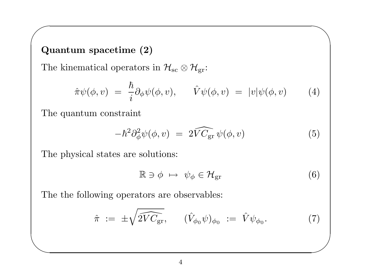#### Quantum spacetime (2)

 $\sqrt{2}$ 

 $\overline{\phantom{a}}$ 

The kinematical operators in  $\mathcal{H}_{\text{sc}} \otimes \mathcal{H}_{\text{gr}}$ :

$$
\hat{\pi}\psi(\phi,v) = \frac{\hbar}{i}\partial_{\phi}\psi(\phi,v), \qquad \hat{V}\psi(\phi,v) = |v|\psi(\phi,v) \qquad (4)
$$

The quantum constraint

$$
-\hbar^2 \partial_{\phi}^2 \psi(\phi, v) = 2\widehat{V C_{\rm gr}} \psi(\phi, v) \tag{5}
$$

The physical states are solutions:

$$
\mathbb{R} \ni \phi \mapsto \psi_{\phi} \in \mathcal{H}_{\text{gr}} \tag{6}
$$

 $\overline{\phantom{0}}$ 

The the following operators are observables:

$$
\hat{\pi} := \pm \sqrt{2V C_{\text{gr}}}, \qquad (\hat{V}_{\phi_0} \psi)_{\phi_0} := \hat{V} \psi_{\phi_0}.
$$
\n(7)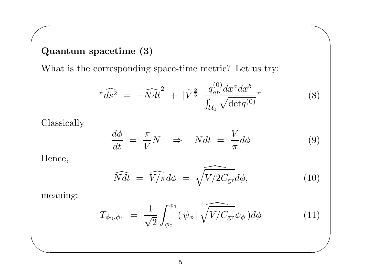### Quantum spacetime (3)

What is the corresponding space-time metric? Let us try:

$$
"\widehat{ds}^{2} = -\widehat{N}dt^{2} + |\widehat{V}^{\frac{2}{3}}| \frac{q_{ab}^{(0)}dx^{a}dx^{b}}{\int_{\mathcal{U}_{0}} \sqrt{\det q^{(0)}}},
$$
\n(8)

 $\overline{\phantom{0}}$ 

Classically

$$
\frac{d\phi}{dt} = \frac{\pi}{V}N \quad \Rightarrow \quad Ndt = \frac{V}{\pi}d\phi \tag{9}
$$

Hence,

 $\sqrt{2}$ 

$$
\widehat{Ndt} = \widehat{V/\pi}d\phi = \widehat{\sqrt{V/2C_{\rm gr}}}d\phi, \qquad (10)
$$

meaning:

 $\overline{\phantom{a}}$ 

$$
T_{\phi_2, \phi_1} = \frac{1}{\sqrt{2}} \int_{\phi_0}^{\phi_1} (\psi_{\phi} | \sqrt{V/C_{\rm gr}} \psi_{\phi}) d\phi \tag{11}
$$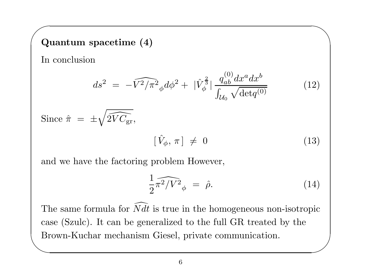# $\sqrt{\Omega}$ Quantum spacetime (4)

In conclusion

$$
ds^{2} = -\widehat{V^{2}/\pi^{2}}_{\phi} d\phi^{2} + |\hat{V}_{\phi}^{\frac{2}{3}}| \frac{q_{ab}^{(0)} dx^{a} dx^{b}}{\int_{\mathcal{U}_{0}} \sqrt{\det q^{(0)}}}
$$
(12)

Since 
$$
\hat{\pi} = \pm \sqrt{2V C_{gr}},
$$
  
\n
$$
[\hat{V}_{\phi}, \pi] \neq 0
$$
\n(13)

and we have the factoring problem However,

$$
\frac{1}{2}\widehat{\pi^2/V^2}_{\phi} = \widehat{\rho}.
$$
 (14)

 $\overline{\phantom{0}}$ 

case (Szulc). It can be generalized to the full GR treated by the Brown-Kuchar mechanism Giesel, private communication.  $\overline{\phantom{a}}$ The same formula for  $Ndt$  is true in the homogeneous non-isotropic  $\overline{\phantom{1}}$ Brown-Kuchar mechanism Giesel, private communication.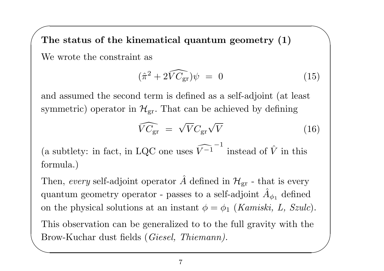$\sqrt{\mathbf{T}}$ The status of the kinematical quantum geometry (1) We wrote the constraint as

$$
(\hat{\pi}^2 + 2\widehat{VC_{\rm gr}})\psi = 0 \tag{15}
$$

 $\overline{\phantom{0}}$ 

and assumed the second term is defined as <sup>a</sup> self-adjoint (at least symmetric) operator in  $\mathcal{H}_{\mathrm{gr}}.$  That can be achieved by defining

$$
\widehat{VC}_{\rm gr} = \sqrt{V}C_{\rm gr}\sqrt{V} \tag{16}
$$

(a subtlety: in fact, in LQC one uses  $\widehat{V^{-1}}^{-1}$  instead of  $\hat{V}$  in this formula.)

 $\begin{pmatrix} Tl \ Bl \end{pmatrix}$  $\begin{pmatrix} 1 \\ 1 \\ 2 \end{pmatrix}$ Then, every self-adjoint operator  $\hat{A}$  defined in  $\mathcal{H}_{\mathrm{gr}}$  - that is every quantum geometry operator - passes to a self-adjoint  $\hat{A}_{\phi_1}$  defined on the physical solutions at an instant  $\phi = \phi_1$  (Kamiski, L, Szulc). This observation can be generalized to to the full gravity with the Brow-Kuchar dust fields (Giesel, Thiemann).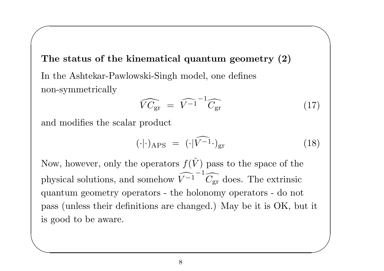The status of the kinematical quantum geometry (2) In the Ashtekar-Pawlowski-Singh model, one defines non-symmetrically  $\overline{\phantom{a}}$ 

$$
\widehat{VC_{\rm gr}} = \widehat{V^{-1}}^{-1} \widehat{C_{\rm gr}} \tag{17}
$$

 $\overline{\phantom{0}}$ 

and modifies the scalar product

 $\sqrt{2}$ 

$$
(\cdot|\cdot)_{\text{APS}} = (\cdot|\widehat{V^{-1}} \cdot)_{\text{gr}} \tag{18}
$$

is good to be aware.  $\overline{\phantom{a}}$ Now, however, only the operators  $f(\hat{V})$  pass to the space of the physical solutions, and somehow  $\widehat{V^{-1}}^{-1} \widehat{C_{gr}}$  does. The extrinsic quantum geometry operators - the holonomy operators - do not pass (unless their definitions are changed.) May be it is OK, but it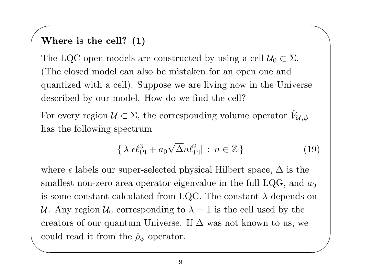# $\sqrt{w}$ Where is the cell? (1)

The LQC open models are constructed by using a cell  $\mathcal{U}_0 \subset \Sigma$ . (The closed model can also be mistaken for an open one and quantized with <sup>a</sup> cell). Suppose we are living now in the Universe described by our model. How do we find the cell?

For every region  $\mathcal{U} \subset \Sigma$ , the corresponding volume operator  $\hat{V}_l$  $\mathcal{U},\phi$ has the following spectrum

$$
\{\lambda|\epsilon \ell_{\rm Pl}^3 + a_0\sqrt{\Delta}n\ell_{\rm Pl}^2| \,:\, n \in \mathbb{Z}\}\tag{19}
$$

 $\overline{\phantom{0}}$ 

✫  $\overline{\phantom{a}}$ where  $\epsilon$  labels our super-selected physical Hilbert space,  $\Delta$  is the smallest non-zero area operator eigenvalue in the full LQG, and  $a_0$ is some constant calculated from LQC. The constant  $\lambda$  depends on U. Any region  $U_0$  corresponding to  $\lambda = 1$  is the cell used by the creators of our quantum Universe. If  $\Delta$  was not known to us, we could read it from the  $\hat{\rho}_{\phi}$  operator.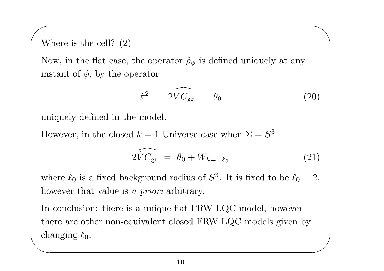# $\sqrt{w}$ Where is the cell? (2)

Now, in the flat case, the operator  $\rho_{\phi}$  is defined uniquely at any instant of  $\phi$ , by the operator

$$
\hat{\pi}^2 = 2\widehat{V}C_{\rm gr} = \theta_0 \tag{20}
$$

 $\overline{\phantom{0}}$ 

uniquely defined in the model.

However, in the closed  $k = 1$  Universe case when  $\Sigma = S^3$ 

$$
2\widehat{V}C_{\rm gr} = \theta_0 + W_{k=1,\ell_0}
$$
 (21)

where  $\ell_0$  is a fixed background radius of  $S^3$ . It is fixed to be  $\ell_0 = 2$ , however that value is a *priori* arbitrary.

 $\begin{pmatrix} 1 \\ 1 \\ 1 \end{pmatrix}$  $\overline{\phantom{a}}$ In conclusion: there is <sup>a</sup> unique flat FRW LQC model, however there are other non-equivalent closed FRW LQC models given by  $\emph{changing }\ell_{0}.$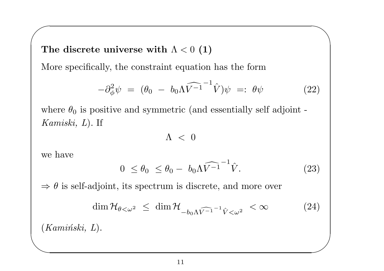$\sqrt{2}$ The discrete universe with  $\Lambda < 0$  (1)

More specifically, the constraint equation has the form

$$
-\partial_{\phi}^{2}\psi = (\theta_{0} - b_{0}\Lambda\widehat{V^{-1}}^{-1}\widehat{V})\psi =: \theta\psi
$$
 (22)

 $\overline{\phantom{0}}$ 

where  $\theta_0$  is positive and symmetric (and essentially self adjoint -Kamiski, <sup>L</sup>). If

 $\Lambda$  < 0

we have

$$
0 \le \theta_0 \le \theta_0 - b_0 \Lambda \widehat{V^{-1}}^{-1} \widehat{V}.
$$
 (23)

 $\Rightarrow \theta$  is self-adjoint, its spectrum is discrete, and more over

$$
\dim \mathcal{H}_{\theta < \omega^2} \le \dim \mathcal{H}_{-b_0 \Lambda \widehat{V^{-1}}} \widehat{V} < \infty \tag{24}
$$
\n
$$
L).
$$

 $\begin{pmatrix} \sqrt{16} & \sqrt{16} & \sqrt{16} & \sqrt{16} & \sqrt{16} & \sqrt{16} & \sqrt{16} & \sqrt{16} & \sqrt{16} & \sqrt{16} & \sqrt{16} & \sqrt{16} & \sqrt{16} & \sqrt{16} & \sqrt{16} & \sqrt{16} & \sqrt{16} & \sqrt{16} & \sqrt{16} & \sqrt{16} & \sqrt{16} & \sqrt{16} & \sqrt{16} & \sqrt{16} & \sqrt{16} & \sqrt{16} & \sqrt{16} & \sqrt{16} & \sqrt{16} & \sqrt{16} & \sqrt{1$  $(Kamiński, \; L).$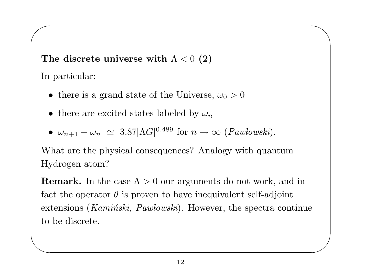The discrete universe with  $\Lambda < 0$  (2)

In particular:

 $\sqrt{2}$ 

- there is a grand state of the Universe,  $\omega_0 > 0$
- there are excited states labeled by  $\omega_n$
- $\omega_{n+1} \omega_n \simeq 3.87 |\Lambda G|^{0.489}$  for  $n \to \infty$  (*Pawłowski*).

What are the <sup>p</sup>hysical consequences? Analogy with quantum Hydrogen atom?

 $\overline{\phantom{0}}$ 

to be discrete.  $\overline{\phantom{a}}$ **Remark.** In the case  $\Lambda > 0$  our arguments do not work, and in fact the operator  $\theta$  is proven to have inequivalent self-adjoint extensions ( $Kamiński$ ,  $Pawłowski$ ). However, the spectra continue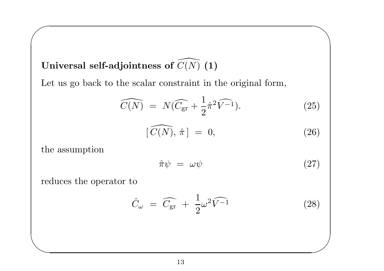### Universal self-adjointness of  $C(N)$   $(\bf{1})$  $\overline{\phantom{a}}$

Let us go back to the scalar constraint in the original form,

$$
\widehat{C(N)} = N(\widehat{C}_{gr} + \frac{1}{2}\widehat{\pi}^2 \widehat{V^{-1}}).
$$
\n(25)

$$
[\widehat{C(N)}, \hat{\pi}] = 0, \qquad (26)
$$

the assumption

 $\sqrt{2}$ 

 $\overline{\phantom{a}}$ 

$$
\hat{\pi}\psi = \omega\psi \tag{27}
$$

 $\overline{\phantom{0}}$ 

 $\overline{\phantom{a}}$ 

reduces the operator to

$$
\hat{C}_{\omega} = \widehat{C_{\text{gr}}} + \frac{1}{2}\omega^2 \widehat{V^{-1}} \tag{28}
$$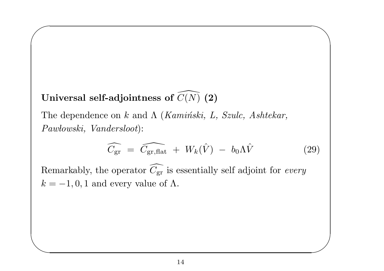### Universal self-adjointness of  $C(N)$   $({\bf 2})$  $\overline{\phantom{a}}$

 $\sqrt{2}$ 

 $\overline{\phantom{a}}$ 

The dependence on k and  $\Lambda$  (Kaminski, L, Szulc, Ashtekar,  $Paw lowski, \ Vanders loot$ :  $\overline{\phantom{a}}$ 

$$
\widehat{C_{\rm gr}} = \widehat{C_{\rm gr, flat}} + W_k(\hat{V}) - b_0 \Lambda \hat{V}
$$
 (29)

 $\overline{\phantom{0}}$ 

 $\overline{\phantom{a}}$ 

Remarkably, the operator  $C_1$  $\overline{\phantom{1}}$  $\epsilon_{\rm gr}$  is essentially self adjoint for every  $k = -1, 0, 1$  and every value of  $\Lambda$ .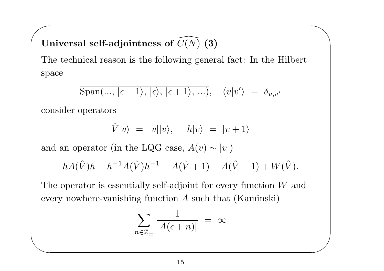# $\sqrt{11}$ Universal self-adjointness of  $C(N)$   $({\bf 3})$  $\overline{\phantom{a}}$

The technical reason is the following general fact: In the Hilbert space

$$
\mathrm{Span}(\ldots, \,|\epsilon - 1\rangle, \,|\epsilon\rangle, \,|\epsilon + 1\rangle, \,\ldots), \quad \langle v|v'\rangle \;=\; \delta_{v,v'}
$$

 $\overline{\phantom{0}}$ 

 $\overline{\phantom{a}}$ 

consider operators

 $\overline{\phantom{a}}$ 

$$
\hat{V}|v\rangle = |v||v\rangle, \quad h|v\rangle = |v+1\rangle
$$

and an operator (in the LQG case,  $A(v) \sim |v|$ )

$$
hA(\hat{V})h + h^{-1}A(\hat{V})h^{-1} - A(\hat{V} + 1) - A(\hat{V} - 1) + W(\hat{V}).
$$

The operator is essentially self-adjoint for every function W and every nowhere-vanishing function  $A$  such that  $(Kaminski)$ 

$$
\sum_{n \in \mathbb{Z}_{\pm}} \frac{1}{|A(\epsilon + n)|} = \infty
$$